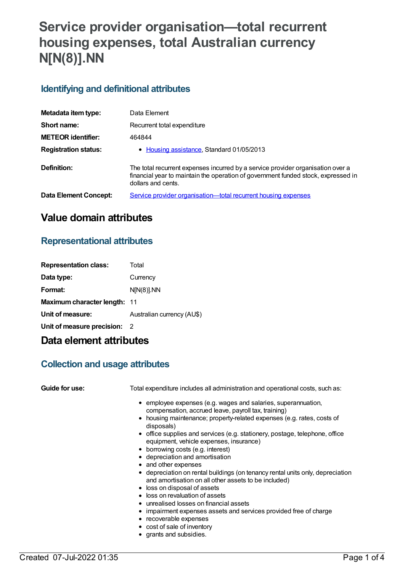# **Service provider organisation—total recurrent housing expenses, total Australian currency N[N(8)].NN**

### **Identifying and definitional attributes**

| Metadata item type:          | Data Element                                                                                                                                                                               |
|------------------------------|--------------------------------------------------------------------------------------------------------------------------------------------------------------------------------------------|
| Short name:                  | Recurrent total expenditure                                                                                                                                                                |
| <b>METEOR identifier:</b>    | 464844                                                                                                                                                                                     |
| <b>Registration status:</b>  | • Housing assistance, Standard 01/05/2013                                                                                                                                                  |
| Definition:                  | The total recurrent expenses incurred by a service provider organisation over a<br>financial year to maintain the operation of government funded stock, expressed in<br>dollars and cents. |
| <b>Data Element Concept:</b> | Service provider organisation—total recurrent housing expenses                                                                                                                             |

### **Value domain attributes**

### **Representational attributes**

| <b>Representation class:</b> | Total                      |
|------------------------------|----------------------------|
| Data type:                   | Currency                   |
| Format:                      | $N[N(8)]$ . NN             |
| Maximum character length: 11 |                            |
| Unit of measure:             | Australian currency (AU\$) |
| Unit of measure precision: 2 |                            |
|                              |                            |

## **Data element attributes**

### **Collection and usage attributes**

| Guide for use: | Total expenditure includes all administration and operational costs, such as:                                          |
|----------------|------------------------------------------------------------------------------------------------------------------------|
|                | • employee expenses (e.g. wages and salaries, superannuation,                                                          |
|                | compensation, accrued leave, payroll tax, training)                                                                    |
|                | • housing maintenance; property-related expenses (e.g. rates, costs of<br>disposals)                                   |
|                | • office supplies and services (e.g. stationery, postage, telephone, office<br>equipment, vehicle expenses, insurance) |
|                | • borrowing costs (e.g. interest)                                                                                      |
|                | • depreciation and amortisation                                                                                        |
|                | • and other expenses                                                                                                   |
|                | • depreciation on rental buildings (on tenancy rental units only, depreciation                                         |
|                | and amortisation on all other assets to be included)                                                                   |
|                | • loss on disposal of assets                                                                                           |
|                | • loss on revaluation of assets                                                                                        |
|                | • unrealised losses on financial assets                                                                                |
|                | • impairment expenses assets and services provided free of charge                                                      |

- recoverable expenses
- cost of sale of inventory
- grants and subsidies.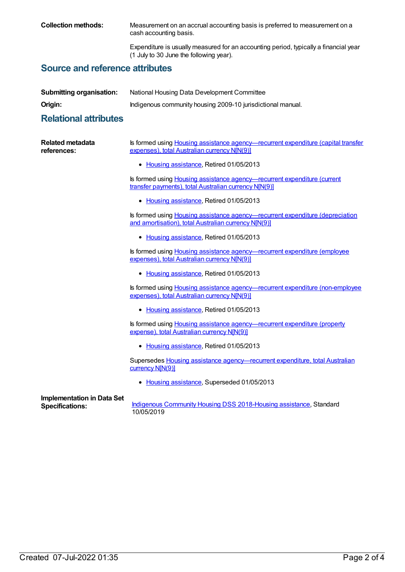**Collection methods:** Measurement on an accrual accounting basis is preferred to measurement on a cash accounting basis.

> Expenditure is usually measured for an accounting period, typically a financial year (1 July to 30 June the following year).

### **Source and reference attributes**

| <b>Submitting organisation:</b> | National Housing Data Development Committee                 |
|---------------------------------|-------------------------------------------------------------|
| Origin:                         | Indigenous community housing 2009-10 jurisdictional manual. |

### **Relational attributes**

| <b>Related metadata</b><br>references:                      | Is formed using Housing assistance agency—recurrent expenditure (capital transfer<br>expenses), total Australian currency N[N(9)]        |
|-------------------------------------------------------------|------------------------------------------------------------------------------------------------------------------------------------------|
|                                                             | • Housing assistance, Retired 01/05/2013                                                                                                 |
|                                                             | Is formed using <b>Housing assistance agency—recurrent expenditure (current</b><br>transfer payments), total Australian currency N[N(9)] |
|                                                             | • Housing assistance, Retired 01/05/2013                                                                                                 |
|                                                             | Is formed using Housing assistance agency—recurrent expenditure (depreciation<br>and amortisation), total Australian currency N[N(9)]    |
|                                                             | • Housing assistance, Retired 01/05/2013                                                                                                 |
|                                                             | Is formed using <b>Housing assistance agency—recurrent expenditure (employee)</b><br>expenses), total Australian currency N[N(9)]        |
|                                                             | • Housing assistance, Retired 01/05/2013                                                                                                 |
|                                                             | Is formed using <b>Housing assistance agency—recurrent expenditure</b> (non-employee)<br>expenses), total Australian currency N[N(9)]    |
|                                                             | • Housing assistance, Retired 01/05/2013                                                                                                 |
|                                                             | Is formed using <b>Housing assistance agency</b> —recurrent expenditure (property<br>expense), total Australian currency N[N(9)]         |
|                                                             | • Housing assistance, Retired 01/05/2013                                                                                                 |
|                                                             | Supersedes Housing assistance agency—recurrent expenditure, total Australian<br>currency N[N(9)]                                         |
|                                                             | • Housing assistance, Superseded 01/05/2013                                                                                              |
| <b>Implementation in Data Set</b><br><b>Specifications:</b> | Indigenous Community Housing DSS 2018-Housing assistance, Standard<br>10/05/2019                                                         |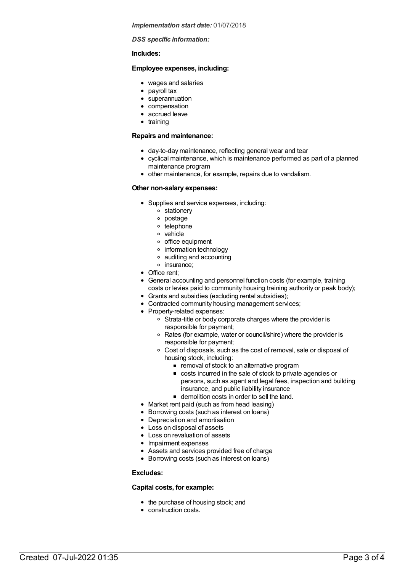*Implementation start date:* 01/07/2018

*DSS specific information:*

#### **Includes:**

#### **Employee expenses, including:**

- wages and salaries
- payroll tax
- superannuation
- compensation
- accrued leave
- training

#### **Repairs and maintenance:**

- day-to-day maintenance, reflecting general wear and tear
- cyclical maintenance, which is maintenance performed as part of a planned maintenance program
- other maintenance, for example, repairs due to vandalism.

#### **Other non-salary expenses:**

- Supplies and service expenses, including:
	- stationery
		- postage
		- o telephone
	- vehicle
	- o office equipment
	- information technology
	- auditing and accounting
	- o insurance:
- Office rent:
- General accounting and personnel function costs (for example, training costs or levies paid to community housing training authority or peak body);
- Grants and subsidies (excluding rental subsidies);
- Contracted community housing management services;
- Property-related expenses:
	- Strata-title or body corporate charges where the provider is responsible for payment;
	- Rates (for example, water or council/shire) where the provider is responsible for payment;
	- Cost of disposals, such as the cost of removal, sale or disposal of housing stock, including:
		- **•** removal of stock to an alternative program
		- costs incurred in the sale of stock to private agencies or persons, such as agent and legal fees, inspection and building insurance, and public liability insurance
		- demolition costs in order to sell the land.
- Market rent paid (such as from head leasing)
- Borrowing costs (such as interest on loans)
- Depreciation and amortisation
- Loss on disposal of assets
- Loss on revaluation of assets
- Impairment expenses
- Assets and services provided free of charge
- Borrowing costs (such as interest on loans)

#### **Excludes:**

#### **Capital costs, for example:**

- the purchase of housing stock; and
- construction costs.